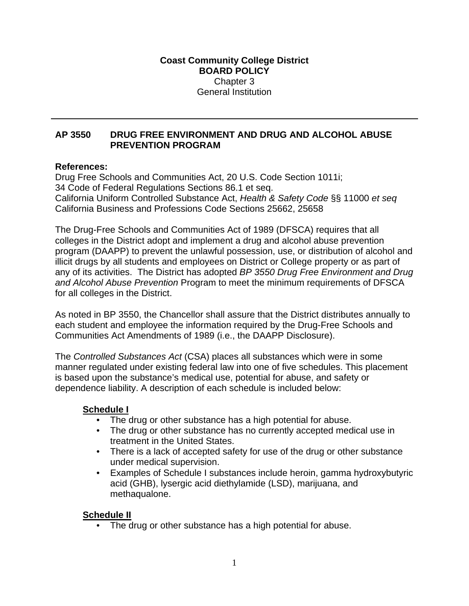#### **Coast Community College District BOARD POLICY** Chapter 3 General Institution

#### **AP 3550 DRUG FREE ENVIRONMENT AND DRUG AND ALCOHOL ABUSE PREVENTION PROGRAM**

#### **References:**

Drug Free Schools and Communities Act, 20 U.S. Code Section 1011i; 34 Code of Federal Regulations Sections 86.1 et seq. California Uniform Controlled Substance Act, *Health & Safety Code* §§ 11000 *et seq*  California Business and Professions Code Sections 25662, 25658

The Drug-Free Schools and Communities Act of 1989 (DFSCA) requires that all colleges in the District adopt and implement a drug and alcohol abuse prevention program (DAAPP) to prevent the unlawful possession, use, or distribution of alcohol and illicit drugs by all students and employees on District or College property or as part of any of its activities. The District has adopted *BP 3550 Drug Free Environment and Drug and Alcohol Abuse Prevention* Program to meet the minimum requirements of DFSCA for all colleges in the District.

As noted in BP 3550, the Chancellor shall assure that the District distributes annually to each student and employee the information required by the Drug-Free Schools and Communities Act Amendments of 1989 (i.e., the DAAPP Disclosure).

The *Controlled Substances Act* (CSA) places all substances which were in some manner regulated under existing federal law into one of five schedules. This placement is based upon the substance's medical use, potential for abuse, and safety or dependence liability. A description of each schedule is included below:

#### **Schedule I**

- The drug or other substance has a high potential for abuse.
- The drug or other substance has no currently accepted medical use in treatment in the United States.
- There is a lack of accepted safety for use of the drug or other substance under medical supervision.
- Examples of Schedule I substances include heroin, gamma hydroxybutyric acid (GHB), lysergic acid diethylamide (LSD), marijuana, and methaqualone.

#### **Schedule II**

• The drug or other substance has a high potential for abuse.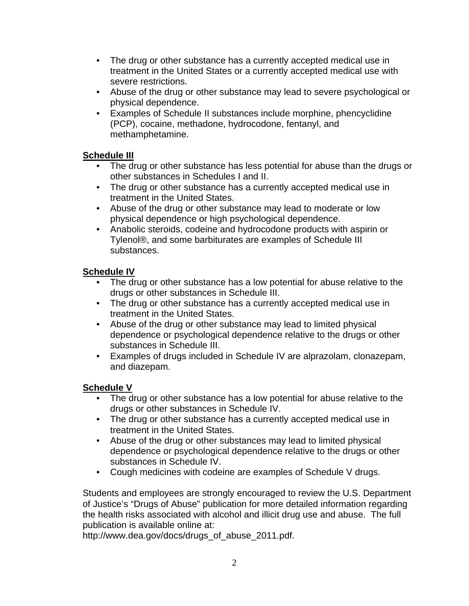- The drug or other substance has a currently accepted medical use in treatment in the United States or a currently accepted medical use with severe restrictions.
- Abuse of the drug or other substance may lead to severe psychological or physical dependence.
- Examples of Schedule II substances include morphine, phencyclidine (PCP), cocaine, methadone, hydrocodone, fentanyl, and methamphetamine.

# **Schedule III**

- The drug or other substance has less potential for abuse than the drugs or other substances in Schedules I and II.
- The drug or other substance has a currently accepted medical use in treatment in the United States.
- Abuse of the drug or other substance may lead to moderate or low physical dependence or high psychological dependence.
- Anabolic steroids, codeine and hydrocodone products with aspirin or Tylenol®, and some barbiturates are examples of Schedule III substances.

# **Schedule IV**

- The drug or other substance has a low potential for abuse relative to the drugs or other substances in Schedule III.
- The drug or other substance has a currently accepted medical use in treatment in the United States.
- Abuse of the drug or other substance may lead to limited physical dependence or psychological dependence relative to the drugs or other substances in Schedule III.
- Examples of drugs included in Schedule IV are alprazolam, clonazepam, and diazepam.

# **Schedule V**

- The drug or other substance has a low potential for abuse relative to the drugs or other substances in Schedule IV.
- The drug or other substance has a currently accepted medical use in treatment in the United States.
- Abuse of the drug or other substances may lead to limited physical dependence or psychological dependence relative to the drugs or other substances in Schedule IV.
- Cough medicines with codeine are examples of Schedule V drugs.

Students and employees are strongly encouraged to review the U.S. Department of Justice's "Drugs of Abuse" publication for more detailed information regarding the health risks associated with alcohol and illicit drug use and abuse. The full publication is available online at:

http://www.dea.gov/docs/drugs\_of\_abuse\_2011.pdf.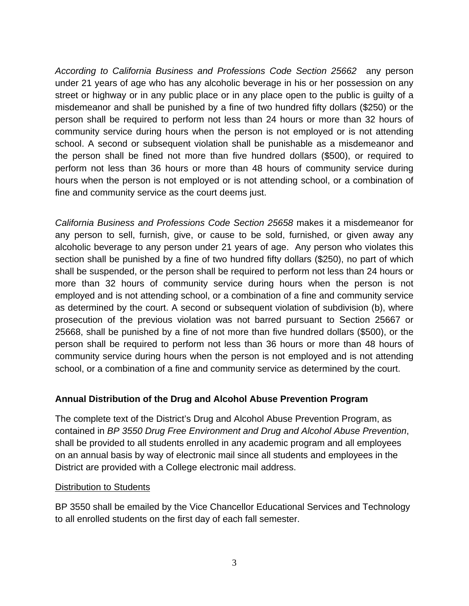*According to California Business and Professions Code Section 25662* any person under 21 years of age who has any alcoholic beverage in his or her possession on any street or highway or in any public place or in any place open to the public is guilty of a misdemeanor and shall be punished by a fine of two hundred fifty dollars (\$250) or the person shall be required to perform not less than 24 hours or more than 32 hours of community service during hours when the person is not employed or is not attending school. A second or subsequent violation shall be punishable as a misdemeanor and the person shall be fined not more than five hundred dollars (\$500), or required to perform not less than 36 hours or more than 48 hours of community service during hours when the person is not employed or is not attending school, or a combination of fine and community service as the court deems just.

*California Business and Professions Code Section 25658* makes it a misdemeanor for any person to sell, furnish, give, or cause to be sold, furnished, or given away any alcoholic beverage to any person under 21 years of age. Any person who violates this section shall be punished by a fine of two hundred fifty dollars (\$250), no part of which shall be suspended, or the person shall be required to perform not less than 24 hours or more than 32 hours of community service during hours when the person is not employed and is not attending school, or a combination of a fine and community service as determined by the court. A second or subsequent violation of subdivision (b), where prosecution of the previous violation was not barred pursuant to Section 25667 or 25668, shall be punished by a fine of not more than five hundred dollars (\$500), or the person shall be required to perform not less than 36 hours or more than 48 hours of community service during hours when the person is not employed and is not attending school, or a combination of a fine and community service as determined by the court.

# **Annual Distribution of the Drug and Alcohol Abuse Prevention Program**

The complete text of the District's Drug and Alcohol Abuse Prevention Program, as contained in *BP 3550 Drug Free Environment and Drug and Alcohol Abuse Prevention*, shall be provided to all students enrolled in any academic program and all employees on an annual basis by way of electronic mail since all students and employees in the District are provided with a College electronic mail address.

# **Distribution to Students**

BP 3550 shall be emailed by the Vice Chancellor Educational Services and Technology to all enrolled students on the first day of each fall semester.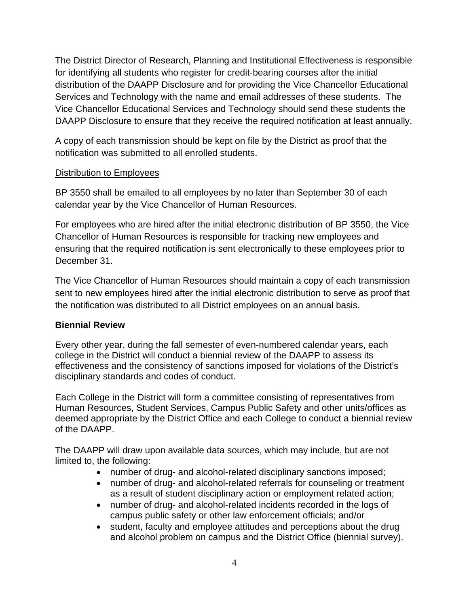The District Director of Research, Planning and Institutional Effectiveness is responsible for identifying all students who register for credit-bearing courses after the initial distribution of the DAAPP Disclosure and for providing the Vice Chancellor Educational Services and Technology with the name and email addresses of these students. The Vice Chancellor Educational Services and Technology should send these students the DAAPP Disclosure to ensure that they receive the required notification at least annually.

A copy of each transmission should be kept on file by the District as proof that the notification was submitted to all enrolled students.

#### Distribution to Employees

BP 3550 shall be emailed to all employees by no later than September 30 of each calendar year by the Vice Chancellor of Human Resources.

For employees who are hired after the initial electronic distribution of BP 3550, the Vice Chancellor of Human Resources is responsible for tracking new employees and ensuring that the required notification is sent electronically to these employees prior to December 31.

The Vice Chancellor of Human Resources should maintain a copy of each transmission sent to new employees hired after the initial electronic distribution to serve as proof that the notification was distributed to all District employees on an annual basis.

# **Biennial Review**

Every other year, during the fall semester of even-numbered calendar years, each college in the District will conduct a biennial review of the DAAPP to assess its effectiveness and the consistency of sanctions imposed for violations of the District's disciplinary standards and codes of conduct.

Each College in the District will form a committee consisting of representatives from Human Resources, Student Services, Campus Public Safety and other units/offices as deemed appropriate by the District Office and each College to conduct a biennial review of the DAAPP.

The DAAPP will draw upon available data sources, which may include, but are not limited to, the following:

- number of drug- and alcohol-related disciplinary sanctions imposed;
- number of drug- and alcohol-related referrals for counseling or treatment as a result of student disciplinary action or employment related action;
- number of drug- and alcohol-related incidents recorded in the logs of campus public safety or other law enforcement officials; and/or
- student, faculty and employee attitudes and perceptions about the drug and alcohol problem on campus and the District Office (biennial survey).